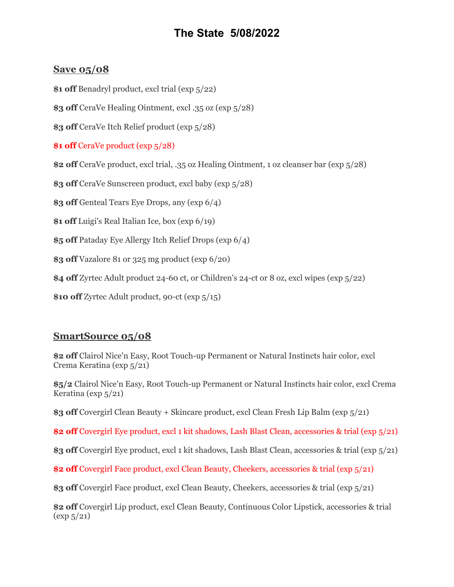## **The State 5/08/2022**

## **Save 05/08**

**\$1 off** Benadryl product, excl trial (exp 5/22)

**\$3 off** CeraVe Healing Ointment, excl .35 oz (exp 5/28)

**\$3 off** CeraVe Itch Relief product (exp 5/28)

**\$1 off** CeraVe product (exp 5/28)

**\$2 off** CeraVe product, excl trial, .35 oz Healing Ointment, 1 oz cleanser bar (exp 5/28)

**\$3 off** CeraVe Sunscreen product, excl baby (exp 5/28)

**\$3 off** Genteal Tears Eye Drops, any (exp 6/4)

**\$1 off** Luigi's Real Italian Ice, box (exp 6/19)

**\$5 off** Pataday Eye Allergy Itch Relief Drops (exp 6/4)

**\$3 off** Vazalore 81 or 325 mg product (exp 6/20)

**\$4 off** Zyrtec Adult product 24-60 ct, or Children's 24-ct or 8 oz, excl wipes (exp 5/22)

**\$10 off** Zyrtec Adult product, 90-ct (exp 5/15)

## **SmartSource 05/08**

**\$2 off** Clairol Nice'n Easy, Root Touch-up Permanent or Natural Instincts hair color, excl Crema Keratina (exp 5/21)

**\$5/2** Clairol Nice'n Easy, Root Touch-up Permanent or Natural Instincts hair color, excl Crema Keratina (exp 5/21)

**\$3 off** Covergirl Clean Beauty + Skincare product, excl Clean Fresh Lip Balm (exp 5/21)

**\$2 off** Covergirl Eye product, excl 1 kit shadows, Lash Blast Clean, accessories & trial (exp 5/21)

**\$3 off** Covergirl Eye product, excl 1 kit shadows, Lash Blast Clean, accessories & trial (exp 5/21)

**\$2 off** Covergirl Face product, excl Clean Beauty, Cheekers, accessories & trial (exp 5/21)

**\$3 off** Covergirl Face product, excl Clean Beauty, Cheekers, accessories & trial (exp 5/21)

**\$2 off** Covergirl Lip product, excl Clean Beauty, Continuous Color Lipstick, accessories & trial  $(\exp 5/21)$